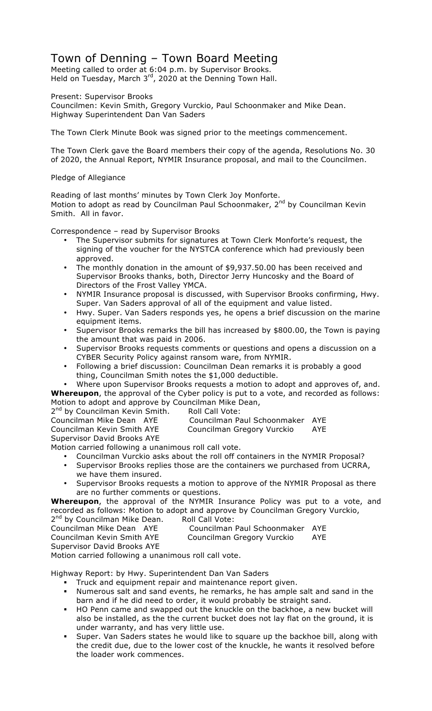## Town of Denning – Town Board Meeting

Meeting called to order at 6:04 p.m. by Supervisor Brooks. Held on Tuesday, March  $3<sup>rd</sup>$ , 2020 at the Denning Town Hall.

Present: Supervisor Brooks

Councilmen: Kevin Smith, Gregory Vurckio, Paul Schoonmaker and Mike Dean. Highway Superintendent Dan Van Saders

The Town Clerk Minute Book was signed prior to the meetings commencement.

The Town Clerk gave the Board members their copy of the agenda, Resolutions No. 30 of 2020, the Annual Report, NYMIR Insurance proposal, and mail to the Councilmen.

Pledge of Allegiance

Reading of last months' minutes by Town Clerk Joy Monforte. Motion to adopt as read by Councilman Paul Schoonmaker, 2<sup>nd</sup> by Councilman Kevin Smith. All in favor.

Correspondence – read by Supervisor Brooks

- The Supervisor submits for signatures at Town Clerk Monforte's request, the signing of the voucher for the NYSTCA conference which had previously been approved.
- The monthly donation in the amount of \$9,937.50.00 has been received and Supervisor Brooks thanks, both, Director Jerry Huncosky and the Board of Directors of the Frost Valley YMCA.
- NYMIR Insurance proposal is discussed, with Supervisor Brooks confirming, Hwy. Super. Van Saders approval of all of the equipment and value listed.
- Hwy. Super. Van Saders responds yes, he opens a brief discussion on the marine equipment items.
- Supervisor Brooks remarks the bill has increased by \$800.00, the Town is paying the amount that was paid in 2006.
- Supervisor Brooks requests comments or questions and opens a discussion on a CYBER Security Policy against ransom ware, from NYMIR.
- Following a brief discussion: Councilman Dean remarks it is probably a good thing, Councilman Smith notes the \$1,000 deductible.
- Where upon Supervisor Brooks requests a motion to adopt and approves of, and.

**Whereupon**, the approval of the Cyber policy is put to a vote, and recorded as follows: Motion to adopt and approve by Councilman Mike Dean, 2<sup>nd</sup> by Councilman Kevin Smith. Roll Call Vote:

Councilman Mike Dean AYE Councilman Paul Schoonmaker AYE Councilman Kevin Smith AYE Councilman Gregory Vurckio AYE Supervisor David Brooks AYE

Motion carried following a unanimous roll call vote.

- Councilman Vurckio asks about the roll off containers in the NYMIR Proposal?
- Supervisor Brooks replies those are the containers we purchased from UCRRA, we have them insured.
- Supervisor Brooks requests a motion to approve of the NYMIR Proposal as there are no further comments or questions.

**Whereupon**, the approval of the NYMIR Insurance Policy was put to a vote, and recorded as follows: Motion to adopt and approve by Councilman Gregory Vurckio, 2<sup>nd</sup> by Councilman Mike Dean. Roll Call Vote:

Councilman Mike Dean AYE Councilman Paul Schoonmaker AYE Councilman Kevin Smith AYE Councilman Gregory Vurckio AYE Supervisor David Brooks AYE

Motion carried following a unanimous roll call vote.

Highway Report: by Hwy. Superintendent Dan Van Saders

- ! Truck and equipment repair and maintenance report given.
- ! Numerous salt and sand events, he remarks, he has ample salt and sand in the barn and if he did need to order, it would probably be straight sand.
- ! HO Penn came and swapped out the knuckle on the backhoe, a new bucket will also be installed, as the the current bucket does not lay flat on the ground, it is under warranty, and has very little use.
- ! Super. Van Saders states he would like to square up the backhoe bill, along with the credit due, due to the lower cost of the knuckle, he wants it resolved before the loader work commences.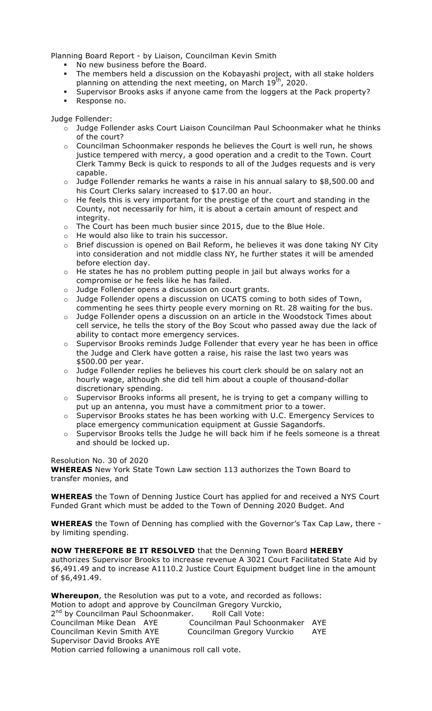Planning Board Report - by Liaison, Councilman Kevin Smith

- . No new business before the Board.
- ! The members held a discussion on the Kobayashi project, with all stake holders planning on attending the next meeting, on March  $19<sup>th</sup>$ , 2020.
- ! Supervisor Brooks asks if anyone came from the loggers at the Pack property?
- ! Response no.

Judge Follender:

- o Judge Follender asks Court Liaison Councilman Paul Schoonmaker what he thinks of the court?
- o Councilman Schoonmaker responds he believes the Court is well run, he shows justice tempered with mercy, a good operation and a credit to the Town. Court Clerk Tammy Beck is quick to responds to all of the Judges requests and is very capable.
- $\circ$  Judge Follender remarks he wants a raise in his annual salary to \$8,500.00 and his Court Clerks salary increased to \$17.00 an hour.
- o He feels this is very important for the prestige of the court and standing in the County, not necessarily for him, it is about a certain amount of respect and integrity.
- $\circ$  The Court has been much busier since 2015, due to the Blue Hole.
- o He would also like to train his successor.
- o Brief discussion is opened on Bail Reform, he believes it was done taking NY City into consideration and not middle class NY, he further states it will be amended before election day.
- o He states he has no problem putting people in jail but always works for a compromise or he feels like he has failed.
- o Judge Follender opens a discussion on court grants.
- o Judge Follender opens a discussion on UCATS coming to both sides of Town, commenting he sees thirty people every morning on Rt. 28 waiting for the bus.
- o Judge Follender opens a discussion on an article in the Woodstock Times about cell service, he tells the story of the Boy Scout who passed away due the lack of ability to contact more emergency services.
- o Supervisor Brooks reminds Judge Follender that every year he has been in office the Judge and Clerk have gotten a raise, his raise the last two years was \$500.00 per year.
- o Judge Follender replies he believes his court clerk should be on salary not an hourly wage, although she did tell him about a couple of thousand-dollar discretionary spending.
- o Supervisor Brooks informs all present, he is trying to get a company willing to put up an antenna, you must have a commitment prior to a tower.
- o Supervisor Brooks states he has been working with U.C. Emergency Services to place emergency communication equipment at Gussie Sagandorfs.
- $\circ$  Supervisor Brooks tells the Judge he will back him if he feels someone is a threat and should be locked up.

Resolution No. 30 of 2020 **WHEREAS** New York State Town Law section 113 authorizes the Town Board to transfer monies, and

**WHEREAS** the Town of Denning Justice Court has applied for and received a NYS Court Funded Grant which must be added to the Town of Denning 2020 Budget. And

**WHEREAS** the Town of Denning has complied with the Governor's Tax Cap Law, there by limiting spending.

## **NOW THEREFORE BE IT RESOLVED** that the Denning Town Board **HEREBY**

authorizes Supervisor Brooks to increase revenue A 3021 Court Facilitated State Aid by \$6,491.49 and to increase A1110.2 Justice Court Equipment budget line in the amount of \$6,491.49.

**Whereupon**, the Resolution was put to a vote, and recorded as follows: Motion to adopt and approve by Councilman Gregory Vurckio, 2<sup>nd</sup> by Councilman Paul Schoonmaker. Roll Call Vote: Councilman Mike Dean AYE Councilman Paul Schoonmaker AYE Councilman Kevin Smith AYE Councilman Gregory Vurckio AYE Supervisor David Brooks AYE Motion carried following a unanimous roll call vote.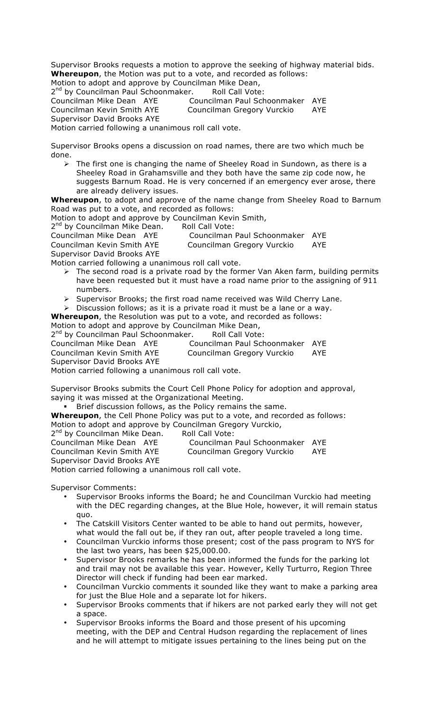Supervisor Brooks requests a motion to approve the seeking of highway material bids. **Whereupon**, the Motion was put to a vote, and recorded as follows: Motion to adopt and approve by Councilman Mike Dean,

2<sup>nd</sup> by Councilman Paul Schoonmaker. Roll Call Vote:

Councilman Mike Dean AYE Councilman Paul Schoonmaker AYE Councilman Kevin Smith AYE Councilman Gregory Vurckio AYE Supervisor David Brooks AYE Motion carried following a unanimous roll call vote.

Supervisor Brooks opens a discussion on road names, there are two which much be done.

 $\triangleright$  The first one is changing the name of Sheeley Road in Sundown, as there is a Sheeley Road in Grahamsville and they both have the same zip code now, he suggests Barnum Road. He is very concerned if an emergency ever arose, there are already delivery issues.

**Whereupon**, to adopt and approve of the name change from Sheeley Road to Barnum Road was put to a vote, and recorded as follows:

Motion to adopt and approve by Councilman Kevin Smith,

2<sup>nd</sup> by Councilman Mike Dean. Roll Call Vote:

Councilman Mike Dean AYE Councilman Paul Schoonmaker AYE

Councilman Kevin Smith AYE Councilman Gregory Vurckio AYE Supervisor David Brooks AYE

Motion carried following a unanimous roll call vote.

- $\triangleright$  The second road is a private road by the former Van Aken farm, building permits have been requested but it must have a road name prior to the assigning of 911 numbers.
- $\triangleright$  Supervisor Brooks; the first road name received was Wild Cherry Lane.

> Discussion follows; as it is a private road it must be a lane or a way.

**Whereupon**, the Resolution was put to a vote, and recorded as follows: Motion to adopt and approve by Councilman Mike Dean,

2<sup>nd</sup> by Councilman Paul Schoonmaker. Roll Call Vote:

Councilman Mike Dean AYE Councilman Paul Schoonmaker AYE

Councilman Kevin Smith AYE Councilman Gregory Vurckio AYE

Supervisor David Brooks AYE

Motion carried following a unanimous roll call vote.

Supervisor Brooks submits the Court Cell Phone Policy for adoption and approval, saying it was missed at the Organizational Meeting.

! Brief discussion follows, as the Policy remains the same.

**Whereupon**, the Cell Phone Policy was put to a vote, and recorded as follows:

Motion to adopt and approve by Councilman Gregory Vurckio,

2<sup>nd</sup> by Councilman Mike Dean. Roll Call Vote:

| Councilman Mike Dean AYE                             | Councilman Paul Schoonmaker AYE |     |
|------------------------------------------------------|---------------------------------|-----|
| Councilman Kevin Smith AYE                           | Councilman Gregory Vurckio      | AYE |
| Supervisor David Brooks AYE                          |                                 |     |
| Motion carried following a unanimous roll call vote. |                                 |     |

Supervisor Comments:

- Supervisor Brooks informs the Board; he and Councilman Vurckio had meeting with the DEC regarding changes, at the Blue Hole, however, it will remain status quo.
- The Catskill Visitors Center wanted to be able to hand out permits, however, what would the fall out be, if they ran out, after people traveled a long time.
- Councilman Vurckio informs those present; cost of the pass program to NYS for the last two years, has been \$25,000.00.
- Supervisor Brooks remarks he has been informed the funds for the parking lot and trail may not be available this year. However, Kelly Turturro, Region Three Director will check if funding had been ear marked.
- Councilman Vurckio comments it sounded like they want to make a parking area for just the Blue Hole and a separate lot for hikers.
- Supervisor Brooks comments that if hikers are not parked early they will not get a space.
- Supervisor Brooks informs the Board and those present of his upcoming meeting, with the DEP and Central Hudson regarding the replacement of lines and he will attempt to mitigate issues pertaining to the lines being put on the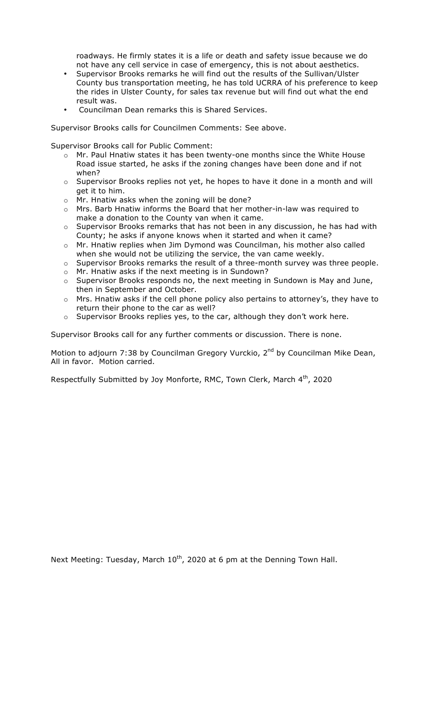roadways. He firmly states it is a life or death and safety issue because we do not have any cell service in case of emergency, this is not about aesthetics.

- Supervisor Brooks remarks he will find out the results of the Sullivan/Ulster County bus transportation meeting, he has told UCRRA of his preference to keep the rides in Ulster County, for sales tax revenue but will find out what the end result was.
- Councilman Dean remarks this is Shared Services.

Supervisor Brooks calls for Councilmen Comments: See above.

Supervisor Brooks call for Public Comment:

- o Mr. Paul Hnatiw states it has been twenty-one months since the White House Road issue started, he asks if the zoning changes have been done and if not when?
- $\circ$  Supervisor Brooks replies not yet, he hopes to have it done in a month and will get it to him.
- o Mr. Hnatiw asks when the zoning will be done?
- o Mrs. Barb Hnatiw informs the Board that her mother-in-law was required to make a donation to the County van when it came.
- $\circ$  Supervisor Brooks remarks that has not been in any discussion, he has had with County; he asks if anyone knows when it started and when it came?
- o Mr. Hnatiw replies when Jim Dymond was Councilman, his mother also called when she would not be utilizing the service, the van came weekly.
- o Supervisor Brooks remarks the result of a three-month survey was three people.
- o Mr. Hnatiw asks if the next meeting is in Sundown?
- o Supervisor Brooks responds no, the next meeting in Sundown is May and June, then in September and October.
- o Mrs. Hnatiw asks if the cell phone policy also pertains to attorney's, they have to return their phone to the car as well?
- $\circ$  Supervisor Brooks replies yes, to the car, although they don't work here.

Supervisor Brooks call for any further comments or discussion. There is none.

Motion to adjourn 7:38 by Councilman Gregory Vurckio, 2<sup>nd</sup> by Councilman Mike Dean, All in favor. Motion carried.

Respectfully Submitted by Joy Monforte, RMC, Town Clerk, March  $4<sup>th</sup>$ , 2020

Next Meeting: Tuesday, March  $10^{th}$ , 2020 at 6 pm at the Denning Town Hall.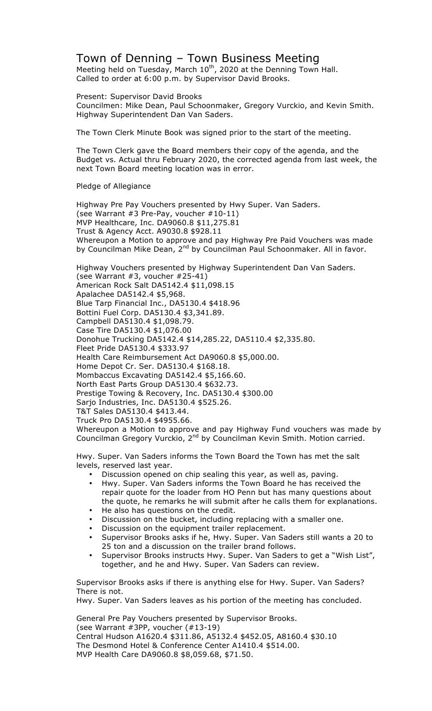## Town of Denning – Town Business Meeting

Meeting held on Tuesday, March  $10^{th}$ , 2020 at the Denning Town Hall. Called to order at 6:00 p.m. by Supervisor David Brooks.

Present: Supervisor David Brooks Councilmen: Mike Dean, Paul Schoonmaker, Gregory Vurckio, and Kevin Smith. Highway Superintendent Dan Van Saders.

The Town Clerk Minute Book was signed prior to the start of the meeting.

The Town Clerk gave the Board members their copy of the agenda, and the Budget vs. Actual thru February 2020, the corrected agenda from last week, the next Town Board meeting location was in error.

Pledge of Allegiance

Highway Pre Pay Vouchers presented by Hwy Super. Van Saders. (see Warrant #3 Pre-Pay, voucher #10-11) MVP Healthcare, Inc. DA9060.8 \$11,275.81 Trust & Agency Acct. A9030.8 \$928.11 Whereupon a Motion to approve and pay Highway Pre Paid Vouchers was made by Councilman Mike Dean, 2<sup>nd</sup> by Councilman Paul Schoonmaker. All in favor.

Highway Vouchers presented by Highway Superintendent Dan Van Saders. (see Warrant #3, voucher #25-41) American Rock Salt DA5142.4 \$11,098.15 Apalachee DA5142.4 \$5,968. Blue Tarp Financial Inc., DA5130.4 \$418.96 Bottini Fuel Corp. DA5130.4 \$3,341.89. Campbell DA5130.4 \$1,098.79. Case Tire DA5130.4 \$1,076.00 Donohue Trucking DA5142.4 \$14,285.22, DA5110.4 \$2,335.80. Fleet Pride DA5130.4 \$333.97 Health Care Reimbursement Act DA9060.8 \$5,000.00. Home Depot Cr. Ser. DA5130.4 \$168.18. Mombaccus Excavating DA5142.4 \$5,166.60. North East Parts Group DA5130.4 \$632.73. Prestige Towing & Recovery, Inc. DA5130.4 \$300.00 Sarjo Industries, Inc. DA5130.4 \$525.26. T&T Sales DA5130.4 \$413.44. Truck Pro DA5130.4 \$4955.66. Whereupon a Motion to approve and pay Highway Fund vouchers was made by Councilman Gregory Vurckio, 2<sup>nd</sup> by Councilman Kevin Smith. Motion carried.

Hwy. Super. Van Saders informs the Town Board the Town has met the salt levels, reserved last year.

- Discussion opened on chip sealing this year, as well as, paving.
- Hwy. Super. Van Saders informs the Town Board he has received the repair quote for the loader from HO Penn but has many questions about the quote, he remarks he will submit after he calls them for explanations.
- He also has questions on the credit.
- Discussion on the bucket, including replacing with a smaller one.
- Discussion on the equipment trailer replacement.
- Supervisor Brooks asks if he, Hwy. Super. Van Saders still wants a 20 to 25 ton and a discussion on the trailer brand follows.
- Supervisor Brooks instructs Hwy. Super. Van Saders to get a "Wish List", together, and he and Hwy. Super. Van Saders can review.

Supervisor Brooks asks if there is anything else for Hwy. Super. Van Saders? There is not.

Hwy. Super. Van Saders leaves as his portion of the meeting has concluded.

General Pre Pay Vouchers presented by Supervisor Brooks. (see Warrant #3PP, voucher (#13-19) Central Hudson A1620.4 \$311.86, A5132.4 \$452.05, A8160.4 \$30.10 The Desmond Hotel & Conference Center A1410.4 \$514.00. MVP Health Care DA9060.8 \$8,059.68, \$71.50.